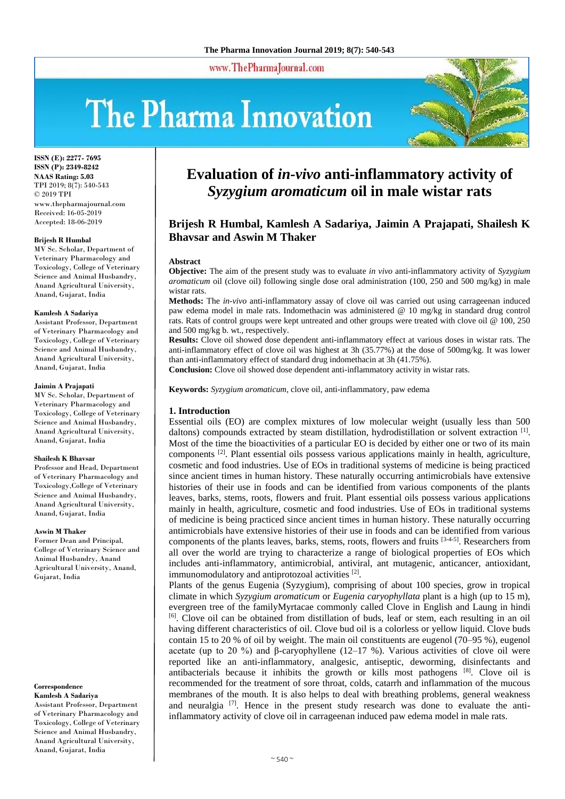www.ThePharmaJournal.com

# The Pharma Innovation



**ISSN (E): 2277- 7695 ISSN (P): 2349-8242 NAAS Rating: 5.03** TPI 2019; 8(7): 540-543 © 2019 TPI www.thepharmajournal.com Received: 16-05-2019 Accepted: 18-06-2019

#### **Brijesh R Humbal**

MV Sc. Scholar, Department of Veterinary Pharmacology and Toxicology, College of Veterinary Science and Animal Husbandry, Anand Agricultural University, Anand, Gujarat, India

#### **Kamlesh A Sadariya**

Assistant Professor, Department of Veterinary Pharmacology and Toxicology, College of Veterinary Science and Animal Husbandry. Anand Agricultural University, Anand, Gujarat, India

#### **Jaimin A Prajapati**

MV Sc. Scholar, Department of Veterinary Pharmacology and Toxicology, College of Veterinary Science and Animal Husbandry, Anand Agricultural University, Anand, Gujarat, India

#### **Shailesh K Bhavsar**

Professor and Head, Department of Veterinary Pharmacology and Toxicology,College of Veterinary Science and Animal Husbandry, Anand Agricultural University, Anand, Gujarat, India

#### **Aswin M Thaker**

Former Dean and Principal, College of Veterinary Science and Animal Husbandry, Anand Agricultural University, Anand, Gujarat, India

#### **Correspondence Kamlesh A Sadariya**

Assistant Professor, Department of Veterinary Pharmacology and Toxicology, College of Veterinary Science and Animal Husbandry, Anand Agricultural University, Anand, Gujarat, India

# **Evaluation of** *in-vivo* **anti-inflammatory activity of**  *Syzygium aromaticum* **oil in male wistar rats**

# **Brijesh R Humbal, Kamlesh A Sadariya, Jaimin A Prajapati, Shailesh K Bhavsar and Aswin M Thaker**

#### **Abstract**

**Objective:** The aim of the present study was to evaluate *in vivo* anti-inflammatory activity of *Syzygium aromaticum* oil (clove oil) following single dose oral administration (100, 250 and 500 mg/kg) in male wistar rats.

**Methods:** The *in-vivo* anti-inflammatory assay of clove oil was carried out using carrageenan induced paw edema model in male rats. Indomethacin was administered @ 10 mg/kg in standard drug control rats. Rats of control groups were kept untreated and other groups were treated with clove oil @ 100, 250 and 500 mg/kg b. wt., respectively.

**Results:** Clove oil showed dose dependent anti-inflammatory effect at various doses in wistar rats. The anti-inflammatory effect of clove oil was highest at 3h (35.77%) at the dose of 500mg/kg. It was lower than anti-inflammatory effect of standard drug indomethacin at 3h (41.75%).

**Conclusion:** Clove oil showed dose dependent anti-inflammatory activity in wistar rats.

**Keywords:** *Syzygium aromaticum,* clove oil*,* anti-inflammatory, paw edema

### **1. Introduction**

Essential oils (EO) are complex mixtures of low molecular weight (usually less than 500 daltons) compounds extracted by steam distillation, hydrodistillation or solvent extraction  $^{[1]}$ . Most of the time the bioactivities of a particular EO is decided by either one or two of its main components [2]. Plant essential oils possess various applications mainly in health, agriculture, cosmetic and food industries. Use of EOs in traditional systems of medicine is being practiced since ancient times in human history. These naturally occurring antimicrobials have extensive histories of their use in foods and can be identified from various components of the plants leaves, barks, stems, roots, flowers and fruit. Plant essential oils possess various applications mainly in health, agriculture, cosmetic and food industries. Use of EOs in traditional systems of medicine is being practiced since ancient times in human history. These naturally occurring antimicrobials have extensive histories of their use in foods and can be identified from various components of the plants leaves, barks, stems, roots, flowers and fruits [3-4-5]. Researchers from all over the world are trying to characterize a range of biological properties of EOs which includes anti-inflammatory, antimicrobial, antiviral, ant mutagenic, anticancer, antioxidant, immunomodulatory and antiprotozoal activities [2].

Plants of the genus Eugenia (Syzygium), comprising of about 100 species, grow in tropical climate in which *Syzygium aromaticum* or *Eugenia caryophyllata* plant is a high (up to 15 m), evergreen tree of the familyMyrtacae commonly called Clove in English and Laung in hindi [6]. Clove oil can be obtained from distillation of buds, leaf or stem, each resulting in an oil having different characteristics of oil. Clove bud oil is a colorless or yellow liquid. Clove buds contain 15 to 20 % of oil by weight. The main oil constituents are eugenol (70–95 %), eugenol acetate (up to 20 %) and β-caryophyllene (12–17 %). Various activities of clove oil were reported like an anti-inflammatory, analgesic, antiseptic, deworming, disinfectants and antibacterials because it inhibits the growth or kills most pathogens [8]. Clove oil is recommended for the treatment of sore throat, colds, catarrh and inflammation of the mucous membranes of the mouth. It is also helps to deal with breathing problems, general weakness and neuralgia [7]. Hence in the present study research was done to evaluate the antiinflammatory activity of clove oil in carrageenan induced paw edema model in male rats.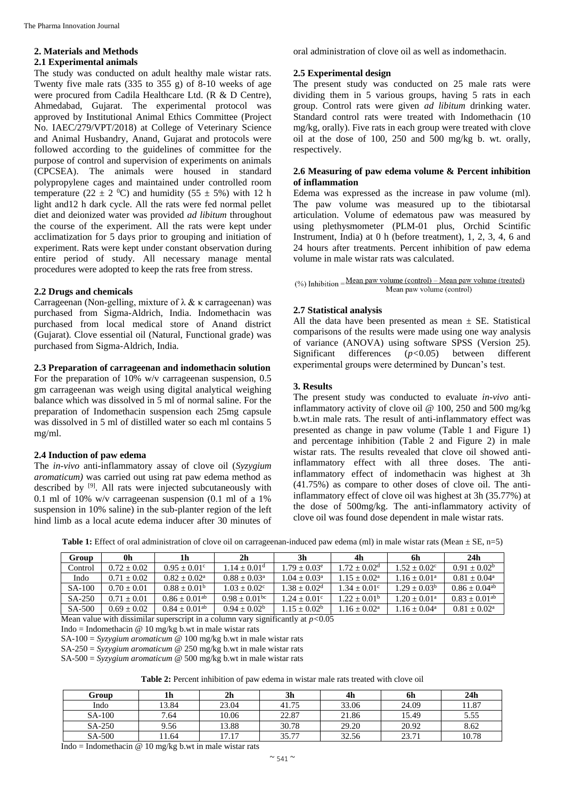# **2. Materials and Methods**

#### **2.1 Experimental animals**

The study was conducted on adult healthy male wistar rats. Twenty five male rats (335 to 355 g) of 8-10 weeks of age were procured from Cadila Healthcare Ltd. (R & D Centre), Ahmedabad, Gujarat. The experimental protocol was approved by Institutional Animal Ethics Committee (Project No. IAEC/279/VPT/2018) at College of Veterinary Science and Animal Husbandry, Anand, Gujarat and protocols were followed according to the guidelines of committee for the purpose of control and supervision of experiments on animals (CPCSEA). The animals were housed in standard polypropylene cages and maintained under controlled room temperature (22  $\pm$  2 <sup>0</sup>C) and humidity (55  $\pm$  5%) with 12 h light and12 h dark cycle. All the rats were fed normal pellet diet and deionized water was provided *ad libitum* throughout the course of the experiment. All the rats were kept under acclimatization for 5 days prior to grouping and initiation of experiment. Rats were kept under constant observation during entire period of study. All necessary manage mental procedures were adopted to keep the rats free from stress.

#### **2.2 Drugs and chemicals**

Carrageenan (Non-gelling, mixture of  $\lambda \& \kappa$  carrageenan) was purchased from Sigma-Aldrich, India. Indomethacin was purchased from local medical store of Anand district (Gujarat). Clove essential oil (Natural, Functional grade) was purchased from Sigma-Aldrich, India.

# **2.3 Preparation of carrageenan and indomethacin solution**

For the preparation of 10% w/v carrageenan suspension, 0.5 gm carrageenan was weigh using digital analytical weighing balance which was dissolved in 5 ml of normal saline. For the preparation of Indomethacin suspension each 25mg capsule was dissolved in 5 ml of distilled water so each ml contains 5 mg/ml.

# **2.4 Induction of paw edema**

The *in-vivo* anti-inflammatory assay of clove oil (*Syzygium aromaticum)* was carried out using rat paw edema method as described by [9]. All rats were injected subcutaneously with 0.1 ml of 10% w/v carrageenan suspension (0.1 ml of a 1% suspension in 10% saline) in the sub-planter region of the left hind limb as a local acute edema inducer after 30 minutes of oral administration of clove oil as well as indomethacin.

### **2.5 Experimental design**

The present study was conducted on 25 male rats were dividing them in 5 various groups, having 5 rats in each group. Control rats were given *ad libitum* drinking water. Standard control rats were treated with Indomethacin (10 mg/kg, orally). Five rats in each group were treated with clove oil at the dose of 100, 250 and 500 mg/kg b. wt. orally, respectively.

# **2.6 Measuring of paw edema volume & Percent inhibition of inflammation**

Edema was expressed as the increase in paw volume (ml). The paw volume was measured up to the tibiotarsal articulation. Volume of edematous paw was measured by using plethysmometer (PLM-01 plus, Orchid Scintific Instrument, India) at 0 h (before treatment), 1, 2, 3, 4, 6 and 24 hours after treatments. Percent inhibition of paw edema volume in male wistar rats was calculated.

 $(\%)$  Inhibition = Mean paw volume (control) – Mean paw volume (treated) Mean paw volume (control)

# **2.7 Statistical analysis**

All the data have been presented as mean  $\pm$  SE. Statistical comparisons of the results were made using one way analysis of variance (ANOVA) using software SPSS (Version 25). Significant differences (*p<*0.05) between different experimental groups were determined by Duncan's test.

# **3. Results**

The present study was conducted to evaluate *in-vivo* antiinflammatory activity of clove oil @ 100, 250 and 500 mg/kg b.wt.in male rats. The result of anti-inflammatory effect was presented as change in paw volume (Table 1 and Figure 1) and percentage inhibition (Table 2 and Figure 2) in male wistar rats. The results revealed that clove oil showed antiinflammatory effect with all three doses. The antiinflammatory effect of indomethacin was highest at 3h (41.75%) as compare to other doses of clove oil. The antiinflammatory effect of clove oil was highest at 3h (35.77%) at the dose of 500mg/kg. The anti-inflammatory activity of clove oil was found dose dependent in male wistar rats.

| <b>Table 1:</b> Effect of oral administration of clove oil on carrage enan-induced paw edema (ml) in male wistar rats (Mean $\pm$ SE, n=5) |  |  |
|--------------------------------------------------------------------------------------------------------------------------------------------|--|--|
|                                                                                                                                            |  |  |

| Group    | 0h            | 1h                            | 2 <sub>h</sub>              | 3h                         | 4h                    | 6h                         | 24 <sub>h</sub>             |
|----------|---------------|-------------------------------|-----------------------------|----------------------------|-----------------------|----------------------------|-----------------------------|
| Control  | $0.72 + 0.02$ | $0.95 + 0.01^{\circ}$         | $1.14 + 0.01d$              | $1.79 + 0.03$ <sup>e</sup> | $1.72 + 0.02d$        | $1.52 + 0.02^c$            | $0.91 + 0.02^b$             |
| Indo     | $0.71 + 0.02$ | $0.82 + 0.02^a$               | $0.88 + 0.03^{\circ}$       | $1.04 + 0.03^a$            | $1.15 + 0.02^a$       | $1.16 \pm 0.01^{\text{a}}$ | $0.81 + 0.04^a$             |
| $SA-100$ | $0.70 + 0.01$ | $0.88 + 0.01b$                | $1.03 + 0.02^{\circ}$       | $1.38 + 0.02^d$            | $1.34 + 0.01^{\circ}$ | $1.29 + 0.03^b$            | $0.86 + 0.04$ <sup>ab</sup> |
| $SA-250$ | $0.71 + 0.01$ | $0.86 \pm 0.01$ <sup>ab</sup> | $0.98 + 0.01$ <sup>bc</sup> | $1.24 + 0.01^{\circ}$      | $1.22 + 0.01b$        | $1.20 + 0.01^a$            | $0.83 + 0.01^{ab}$          |
| SA-500   | $0.69 + 0.02$ | $0.84 + 0.01^{ab}$            | $0.94 + 0.02^b$             | $1.15 + 0.02b$             | $1.16 + 0.02^a$       | $1.16 \pm 0.04^{\text{a}}$ | $0.81 + 0.02^a$             |

Mean value with dissimilar superscript in a column vary significantly at  $p < 0.05$ 

Indo = Indomethacin  $\omega$  10 mg/kg b.wt in male wistar rats

SA-100 = *Syzygium aromaticum* @ 100 mg/kg b.wt in male wistar rats

SA-250 = *Syzygium aromaticum* @ 250 mg/kg b.wt in male wistar rats SA-500 = *Syzygium aromaticum* @ 500 mg/kg b.wt in male wistar rats

**Table 2:** Percent inhibition of paw edema in wistar male rats treated with clove oil

| Group  | 1h    | 2 <sub>h</sub> | 3h    | 4h    | 6h    | 24h   |
|--------|-------|----------------|-------|-------|-------|-------|
| Indo   | 13.84 | 23.04          | 41.75 | 33.06 | 24.09 | 11.87 |
| SA-100 | 7.64  | 10.06          | 22.87 | 21.86 | 15.49 | 5.55  |
| SA-250 | 9.56  | 13.88          | 30.78 | 29.20 | 20.92 | 8.62  |
| SA-500 | 11.64 | 17.17          | 35.77 | 32.56 | 23.71 | 10.78 |

Indo = Indomethacin  $@ 10$  mg/kg b.wt in male wistar rats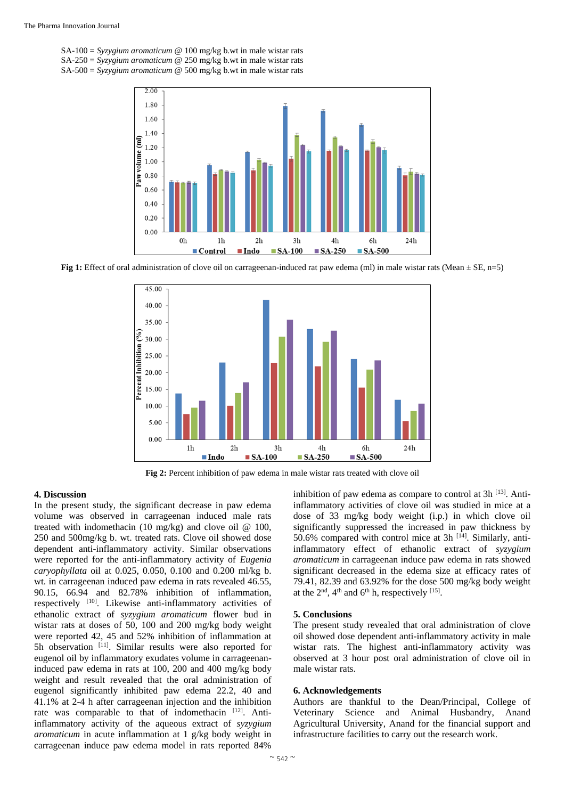SA-100 = *Syzygium aromaticum* @ 100 mg/kg b.wt in male wistar rats SA-250 = *Syzygium aromaticum* @ 250 mg/kg b.wt in male wistar rats SA-500 = *Syzygium aromaticum* @ 500 mg/kg b.wt in male wistar rats



**Fig 1:** Effect of oral administration of clove oil on carrageenan-induced rat paw edema (ml) in male wistar rats (Mean  $\pm$  SE, n=5)



**Fig 2:** Percent inhibition of paw edema in male wistar rats treated with clove oil

#### **4. Discussion**

In the present study, the significant decrease in paw edema volume was observed in carrageenan induced male rats treated with indomethacin (10 mg/kg) and clove oil  $\omega$  100, 250 and 500mg/kg b. wt. treated rats. Clove oil showed dose dependent anti-inflammatory activity. Similar observations were reported for the anti-inflammatory activity of *Eugenia caryophyllata* oil at 0.025, 0.050, 0.100 and 0.200 ml/kg b. wt. in carrageenan induced paw edema in rats revealed 46.55, 90.15, 66.94 and 82.78% inhibition of inflammation, respectively [10]. Likewise anti-inflammatory activities of ethanolic extract of *syzygium aromaticum* flower bud in wistar rats at doses of 50, 100 and 200 mg/kg body weight were reported 42, 45 and 52% inhibition of inflammation at 5h observation <sup>[11]</sup>. Similar results were also reported for eugenol oil by inflammatory exudates volume in carrageenaninduced paw edema in rats at 100, 200 and 400 mg/kg body weight and result revealed that the oral administration of eugenol significantly inhibited paw edema 22.2, 40 and 41.1% at 2-4 h after carrageenan injection and the inhibition rate was comparable to that of indomethacin [12]. Antiinflammatory activity of the aqueous extract of *syzygium aromaticum* in acute inflammation at 1 g/kg body weight in carrageenan induce paw edema model in rats reported 84%

inhibition of paw edema as compare to control at  $3h^{[13]}$ . Antiinflammatory activities of clove oil was studied in mice at a dose of 33 mg/kg body weight (i.p.) in which clove oil significantly suppressed the increased in paw thickness by 50.6% compared with control mice at 3h  $[14]$ . Similarly, antiinflammatory effect of ethanolic extract of *syzygium aromaticum* in carrageenan induce paw edema in rats showed significant decreased in the edema size at efficacy rates of 79.41, 82.39 and 63.92% for the dose 500 mg/kg body weight at the  $2<sup>nd</sup>$ , 4<sup>th</sup> and 6<sup>th</sup> h, respectively <sup>[15]</sup>.

#### **5. Conclusions**

The present study revealed that oral administration of clove oil showed dose dependent anti-inflammatory activity in male wistar rats. The highest anti-inflammatory activity was observed at 3 hour post oral administration of clove oil in male wistar rats.

#### **6. Acknowledgements**

Authors are thankful to the Dean/Principal, College of Veterinary Science and Animal Husbandry, Anand Agricultural University, Anand for the financial support and infrastructure facilities to carry out the research work.